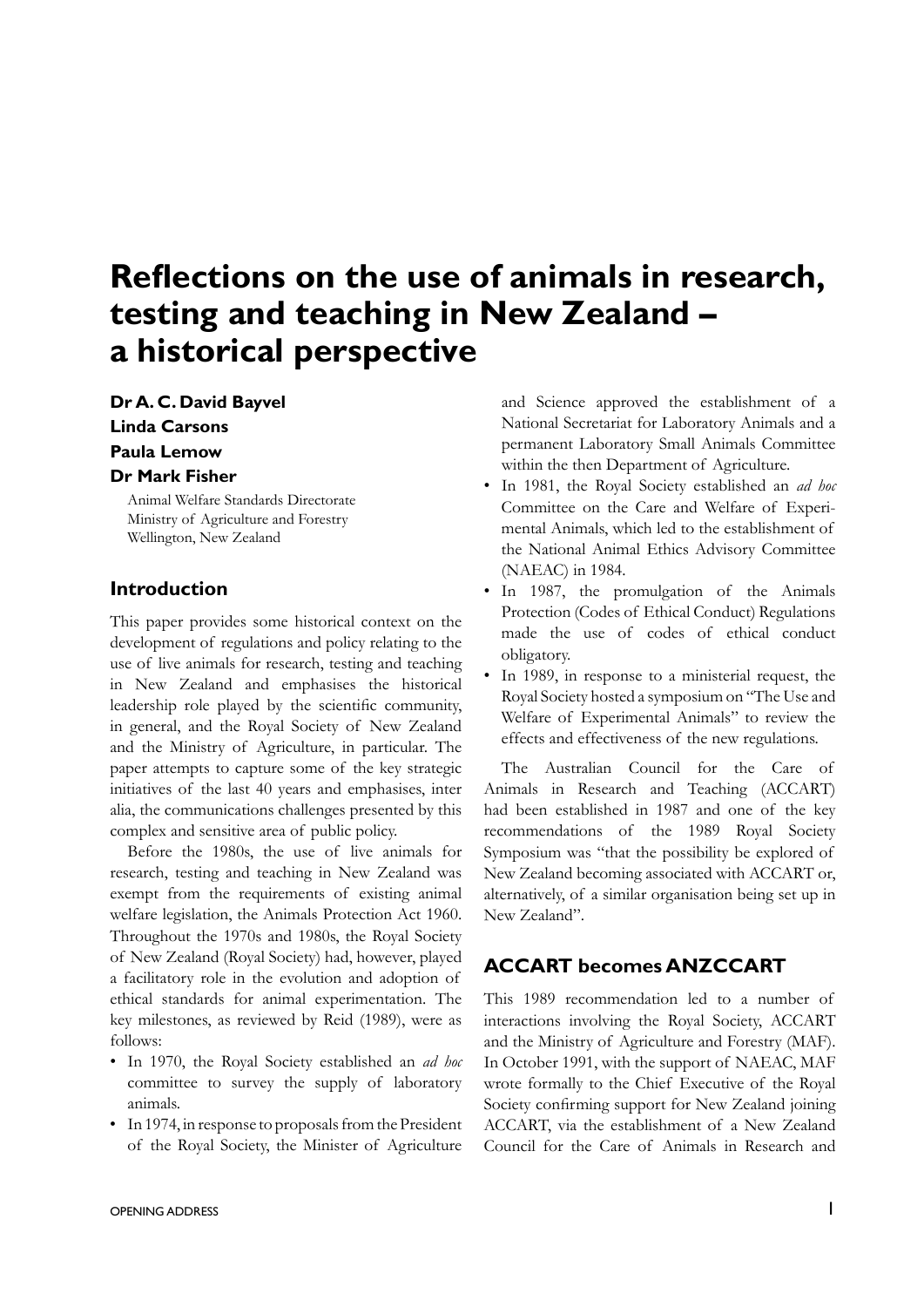# **Reflections on the use of animals in research, testing and teaching in New Zealand – a historical perspective**

**Dr A. C. David Bayvel Linda Carsons Paula Lemow Dr Mark Fisher**

Animal Welfare Standards Directorate Ministry of Agriculture and Forestry Wellington, New Zealand

### **Introduction**

This paper provides some historical context on the development of regulations and policy relating to the use of live animals for research, testing and teaching in New Zealand and emphasises the historical leadership role played by the scientific community, in general, and the Royal Society of New Zealand and the Ministry of Agriculture, in particular. The paper attempts to capture some of the key strategic initiatives of the last 40 years and emphasises, inter alia, the communications challenges presented by this complex and sensitive area of public policy.

Before the 1980s, the use of live animals for research, testing and teaching in New Zealand was exempt from the requirements of existing animal welfare legislation, the Animals Protection Act 1960. Throughout the 1970s and 1980s, the Royal Society of New Zealand (Royal Society) had, however, played a facilitatory role in the evolution and adoption of ethical standards for animal experimentation. The key milestones, as reviewed by Reid (1989), were as follows:

- • In 1970, the Royal Society established an *ad hoc* committee to survey the supply of laboratory animals.
- In 1974, in response to proposals from the President of the Royal Society, the Minister of Agriculture

and Science approved the establishment of a National Secretariat for Laboratory Animals and a permanent Laboratory Small Animals Committee within the then Department of Agriculture.

- • In 1981, the Royal Society established an *ad hoc* Committee on the Care and Welfare of Experimental Animals, which led to the establishment of the National Animal Ethics Advisory Committee (NAEAC) in 1984.
- • In 1987, the promulgation of the Animals Protection (Codes of Ethical Conduct) Regulations made the use of codes of ethical conduct obligatory.
- In 1989, in response to a ministerial request, the Royal Society hosted a symposium on "The Use and Welfare of Experimental Animals" to review the effects and effectiveness of the new regulations.

The Australian Council for the Care of Animals in Research and Teaching (ACCART) had been established in 1987 and one of the key recommendations of the 1989 Royal Society Symposium was "that the possibility be explored of New Zealand becoming associated with ACCART or, alternatively, of a similar organisation being set up in New Zealand".

## **ACCART becomes ANZCCART**

This 1989 recommendation led to a number of interactions involving the Royal Society, ACCART and the Ministry of Agriculture and Forestry (MAF). In October 1991, with the support of NAEAC, MAF wrote formally to the Chief Executive of the Royal Society confirming support for New Zealand joining ACCART, via the establishment of a New Zealand Council for the Care of Animals in Research and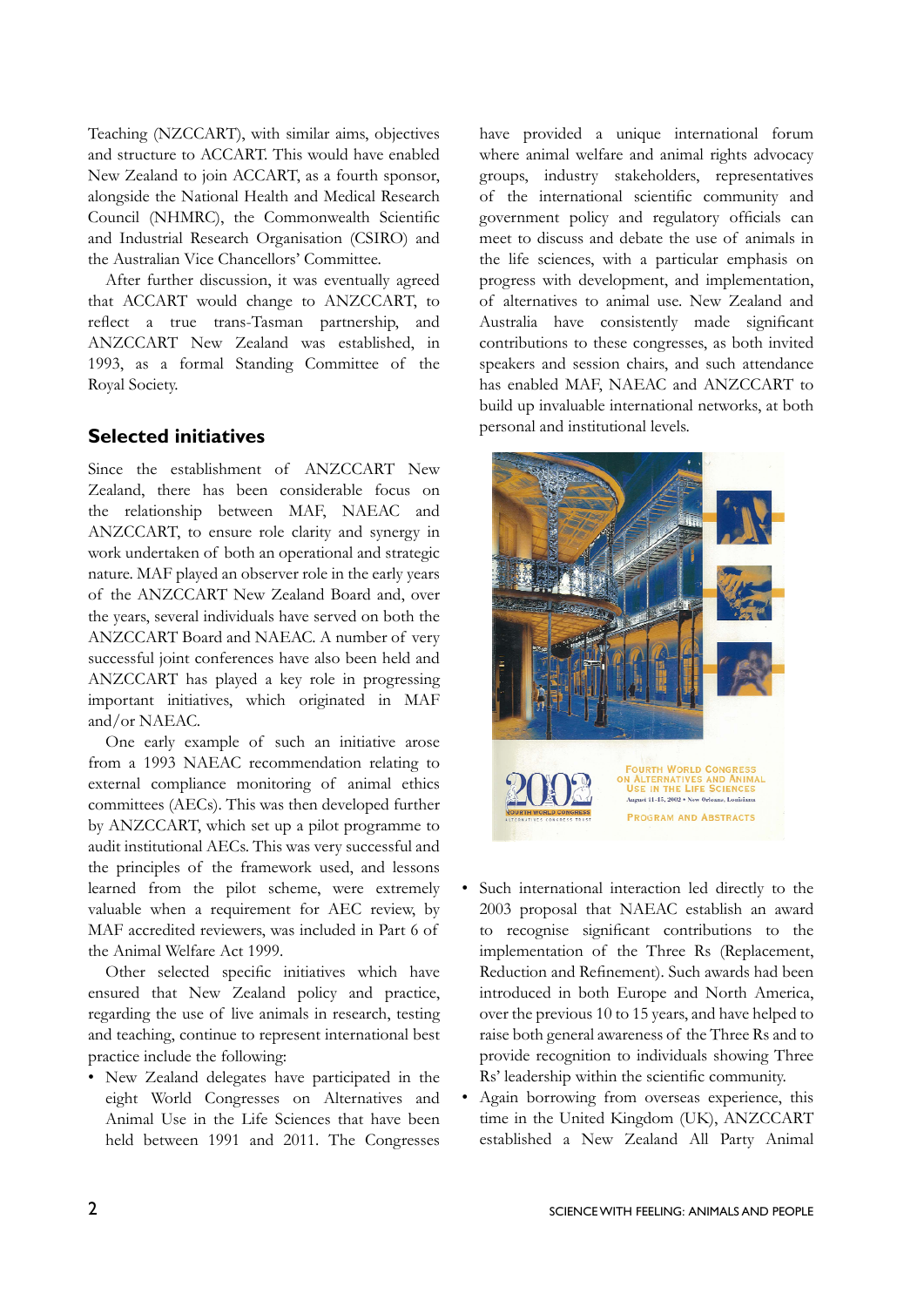Teaching (NZCCART), with similar aims, objectives and structure to ACCART. This would have enabled New Zealand to join ACCART, as a fourth sponsor, alongside the National Health and Medical Research Council (NHMRC), the Commonwealth Scientific and Industrial Research Organisation (CSIRO) and the Australian Vice Chancellors' Committee.

After further discussion, it was eventually agreed that ACCART would change to ANZCCART, to reflect a true trans-Tasman partnership, and ANZCCART New Zealand was established, in 1993, as a formal Standing Committee of the Royal Society.

## **Selected initiatives**

Since the establishment of ANZCCART New Zealand, there has been considerable focus on the relationship between MAF, NAEAC and ANZCCART, to ensure role clarity and synergy in work undertaken of both an operational and strategic nature. MAF played an observer role in the early years of the ANZCCART New Zealand Board and, over the years, several individuals have served on both the ANZCCART Board and NAEAC. A number of very successful joint conferences have also been held and ANZCCART has played a key role in progressing important initiatives, which originated in MAF and/or NAEAC.

One early example of such an initiative arose from a 1993 NAEAC recommendation relating to external compliance monitoring of animal ethics committees (AECs). This was then developed further by ANZCCART, which set up a pilot programme to audit institutional AECs. This was very successful and the principles of the framework used, and lessons learned from the pilot scheme, were extremely valuable when a requirement for AEC review, by MAF accredited reviewers, was included in Part 6 of the Animal Welfare Act 1999.

 Other selected specific initiatives which have ensured that New Zealand policy and practice, regarding the use of live animals in research, testing and teaching, continue to represent international best practice include the following:

• New Zealand delegates have participated in the eight World Congresses on Alternatives and Animal Use in the Life Sciences that have been held between 1991 and 2011. The Congresses have provided a unique international forum where animal welfare and animal rights advocacy groups, industry stakeholders, representatives of the international scientific community and government policy and regulatory officials can meet to discuss and debate the use of animals in the life sciences, with a particular emphasis on progress with development, and implementation, of alternatives to animal use. New Zealand and Australia have consistently made significant contributions to these congresses, as both invited speakers and session chairs, and such attendance has enabled MAF, NAEAC and ANZCCART to build up invaluable international networks, at both personal and institutional levels.



- Such international interaction led directly to the 2003 proposal that NAEAC establish an award to recognise significant contributions to the implementation of the Three Rs (Replacement, Reduction and Refinement). Such awards had been introduced in both Europe and North America, over the previous 10 to 15 years, and have helped to raise both general awareness of the Three Rs and to provide recognition to individuals showing Three Rs' leadership within the scientific community.
- Again borrowing from overseas experience, this time in the United Kingdom (UK), ANZCCART established a New Zealand All Party Animal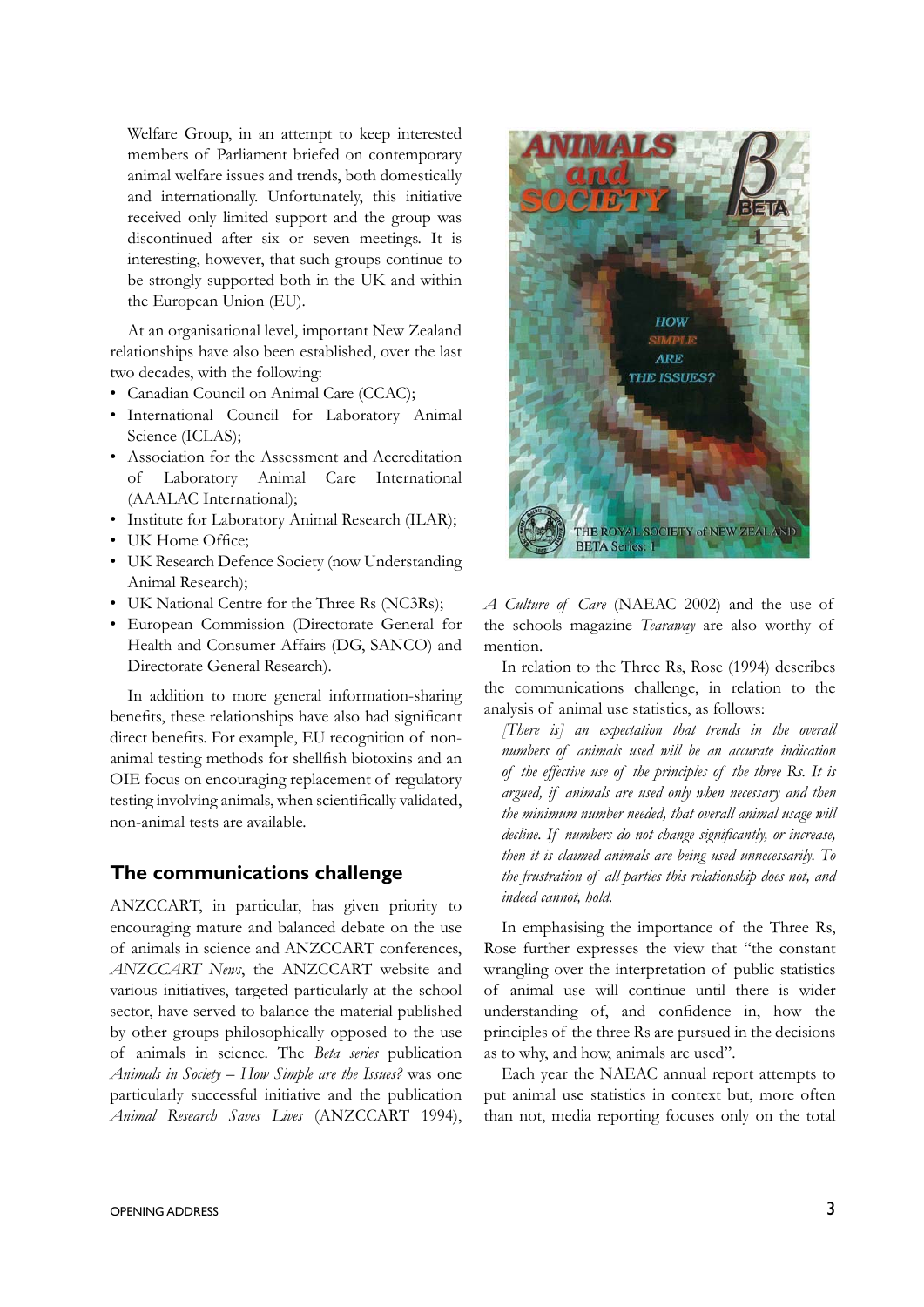Welfare Group, in an attempt to keep interested members of Parliament briefed on contemporary animal welfare issues and trends, both domestically and internationally. Unfortunately, this initiative received only limited support and the group was discontinued after six or seven meetings. It is interesting, however, that such groups continue to be strongly supported both in the UK and within the European Union (EU).

At an organisational level, important New Zealand relationships have also been established, over the last two decades, with the following:

- Canadian Council on Animal Care (CCAC);
- • International Council for Laboratory Animal Science (ICLAS):
- Association for the Assessment and Accreditation of Laboratory Animal Care International (AAALAC International);
- Institute for Laboratory Animal Research (ILAR);
- UK Home Office;
- UK Research Defence Society (now Understanding Animal Research);
- UK National Centre for the Three Rs (NC3Rs);
- • European Commission (Directorate General for Health and Consumer Affairs (DG, SANCO) and Directorate General Research).

In addition to more general information-sharing benefits, these relationships have also had significant direct benefits. For example, EU recognition of nonanimal testing methods for shellfish biotoxins and an OIE focus on encouraging replacement of regulatory testing involving animals, when scientifically validated, non-animal tests are available.

#### **The communications challenge**

ANZCCART, in particular, has given priority to encouraging mature and balanced debate on the use of animals in science and ANZCCART conferences, *ANZCCART News*, the ANZCCART website and various initiatives, targeted particularly at the school sector, have served to balance the material published by other groups philosophically opposed to the use of animals in science. The *Beta series* publication *Animals in Society – How Simple are the Issues?* was one particularly successful initiative and the publication *Animal Research Saves Lives* (ANZCCART 1994),



*A Culture of Care* (NAEAC 2002) and the use of the schools magazine *Tearaway* are also worthy of mention.

In relation to the Three Rs, Rose (1994) describes the communications challenge, in relation to the analysis of animal use statistics, as follows:

*[There is] an expectation that trends in the overall numbers of animals used will be an accurate indication of the effective use of the principles of the three Rs. It is argued, if animals are used only when necessary and then the minimum number needed, that overall animal usage will decline. If numbers do not change significantly, or increase, then it is claimed animals are being used unnecessarily. To the frustration of all parties this relationship does not, and indeed cannot, hold.*

In emphasising the importance of the Three Rs, Rose further expresses the view that "the constant wrangling over the interpretation of public statistics of animal use will continue until there is wider understanding of, and confidence in, how the principles of the three Rs are pursued in the decisions as to why, and how, animals are used".

Each year the NAEAC annual report attempts to put animal use statistics in context but, more often than not, media reporting focuses only on the total